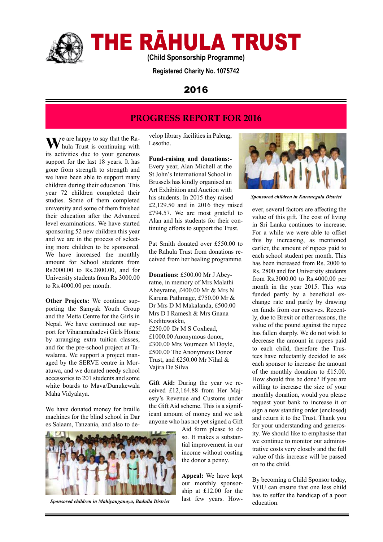

# THE RĀHULA TRUST

**(Child Sponsorship Programme)**

**Registered Charity No. 1075742**

## 2016

# **PROGRESS REPORT FOR 2016**

We are happy to say that the Ra-<br>hula Trust is continuing with its activities due to your generous support for the last 18 years. It has gone from strength to strength and we have been able to support many children during their education. This year 72 children completed their studies. Some of them completed university and some of them finished their education after the Advanced level examinations. We have started sponsoring 52 new children this year and we are in the process of selecting more children to be sponsored. We have increased the monthly amount for School students from Rs2000.00 to Rs.2800.00, and for University students from Rs.3000.00 to Rs.4000.00 per month.

**Other Projects:** We continue supporting the Samyak Youth Group and the Metta Centre for the Girls in Nepal. We have continued our support for Viharamahadevi Girls Home by arranging extra tuition classes, and for the pre-school project at Tawalama. We support a project managed by the SERVE centre in Moratuwa, and we donated needy school accessories to 201 students and some white boards to Mava/Dunukewala Maha Vidyalaya.

We have donated money for braille machines for the blind school in Dar es Salaam, Tanzania, and also to de-



Sponsored children in Mahiyanganaya, Badulla District last lew years. How-<br>education.

velop library facilities in Paleng, Lesotho.

**Fund-raising and donations:-** Every year, Alan Michell at the St John's International School in Brussels has kindly organised an Art Exhibition and Auction with his students. In 2015 they raised £2,129.50 and in 2016 they raised £794.57. We are most grateful to Alan and his students for their continuing efforts to support the Trust.

Pat Smith donated over £550.00 to the Rahula Trust from donations received from her healing programme.

**Donations:** £500.00 Mr J Abeyratne, in memory of Mrs Malathi Abeyratne, £400.00 Mr & Mrs N Karuna Pathmage, £750.00 Mr & Dr Mrs D M Makalanda, £500.00 Mrs D I Ramesh & Mrs Gnana Kodituwakku, £250.00 Dr M S Coxhead, £1000.00 Anonymous donor, £300.00 Mrs Vourneen M Doyle, £500.00 The Anonymous Donor Trust, and £250.00 Mr Nihal & Vajira De Silva

Gift Aid: During the year we received £12,164.88 from Her Majesty's Revenue and Customs under the Gift Aid scheme. This is a significant amount of money and we ask anyone who has not yet signed a Gift

> Aid form please to do so. It makes a substantial improvement in our income without costing the donor a penny.

**Appeal:** We have kept our monthly sponsorship at £12.00 for the last few years. How-



*Sponsored children in Kurunegala District*

ever, several factors are affecting the value of this gift. The cost of living in Sri Lanka continues to increase. For a while we were able to offset this by increasing, as mentioned earlier, the amount of rupees paid to each school student per month. This has been increased from Rs. 2000 to Rs. 2800 and for University students from Rs.3000.00 to Rs.4000.00 per month in the year 2015. This was funded partly by a beneficial exchange rate and partly by drawing on funds from our reserves. Recently, due to Brexit or other reasons, the value of the pound against the rupee has fallen sharply. We do not wish to decrease the amount in rupees paid to each child, therefore the Trustees have reluctantly decided to ask each sponsor to increase the amount of the monthly donation to £15.00. How should this be done? If you are willing to increase the size of your monthly donation, would you please request your bank to increase it or sign a new standing order (enclosed) and return it to the Trust. Thank you for your understanding and generosity. We should like to emphasise that we continue to monitor our administrative costs very closely and the full value of this increase will be passed on to the child.

By becoming a Child Sponsor today, YOU can ensure that one less child has to suffer the handicap of a poor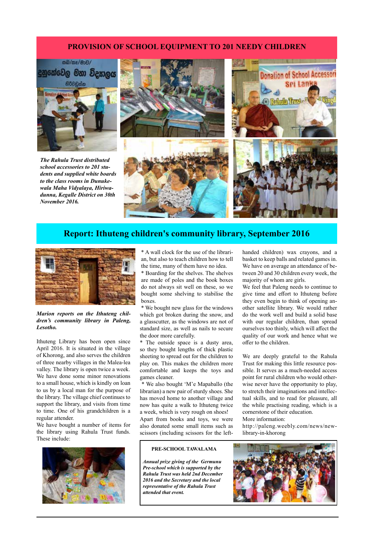#### **PROVISION OF SCHOOL EQUIPMENT TO 201 NEEDY CHILDREN**



*The Rahula Trust distributed school accessories to 201 students and supplied white boards to the class rooms in Dunukewala Maha Vidyalaya, Hiriwadunna, Kegalle District on 30th November 2016.* 



### **Report: Ithuteng children's community library, September 2016**



#### *Marion reports on the Ithuteng children's community library in Paleng, Lesotho.*

Ithuteng Library has been open since April 2016. It is situated in the village of Khorong, and also serves the children of three nearby villages in the Malea-lea valley. The library is open twice a week. We have done some minor renovations to a small house, which is kindly on loan to us by a local man for the purpose of the library. The village chief continues to support the library, and visits from time to time. One of his grandchildren is a regular attender.

We have bought a number of items for the library using Rahula Trust funds. These include:



\* A wall clock for the use of the librarian, but also to teach children how to tell the time, many of them have no idea.

\* Boarding for the shelves. The shelves are made of poles and the book boxes do not always sit well on these, so we bought some shelving to stabilise the boxes.

\* We bought new glass for the windows which got broken during the snow, and a glasscutter, as the windows are not of standard size, as well as nails to secure the door more carefully.

\* The outside space is a dusty area, so they bought lengths of thick plastic sheeting to spread out for the children to play on. This makes the children more comfortable and keeps the toys and games cleaner.

 \* We also bought 'M'e Mapaballo (the librarian) a new pair of sturdy shoes. She has moved home to another village and now has quite a walk to Ithuteng twice a week, which is very rough on shoes! Apart from books and toys, we were

also donated some small items such as scissors (including scissors for the left-

#### **PRE-SCHOOL TAWALAMA**

*Annual prize giving of the Germunu Pre-school which is supported by the Rahula Trust was held 2nd December 2016 and the Secretary and the local representative of the Rahula Trust attended that event.* 

handed children) wax crayons, and a basket to keep balls and related games in. We have on average an attendance of between 20 and 30 children every week, the majority of whom are girls.

We feel that Paleng needs to continue to give time and effort to Ithuteng before they even begin to think of opening another satellite library. We would rather do the work well and build a solid base with our regular children, than spread ourselves too thinly, which will affect the quality of our work and hence what we offer to the children.

We are deeply grateful to the Rahula Trust for making this little resource possible. It serves as a much-needed access point for rural children who would otherwise never have the opportunity to play, to stretch their imaginations and intellectual skills, and to read for pleasure, all the while practising reading, which is a cornerstone of their education.

More information:

http://paleng.weebly.com/news/newlibrary-in-khorong

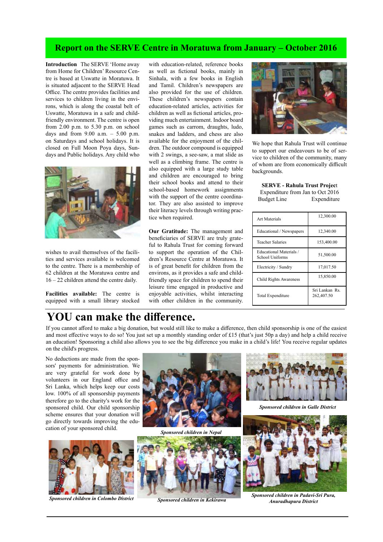### **Report on the SERVE Centre in Moratuwa from January – October 2016**

**Introduction** The SERVE 'Home away from Home for Children' Resource Centre is based at Uswatte in Moratuwa. It is situated adjacent to the SERVE Head Office. The centre provides facilities and services to children living in the environs, which is along the coastal belt of Uswatte, Moratuwa in a safe and childfriendly environment. The centre is open from 2.00 p.m. to 5.30 p.m. on school days and from  $9.00$  a.m.  $-5.00$  p.m. on Saturdays and school holidays. It is closed on Full Moon Poya days, Sundays and Public holidays. Any child who



wishes to avail themselves of the facilities and services available is welcomed to the centre. There is a membership of 62 children at the Moratuwa centre and 16 – 22 children attend the centre daily.

**Facilities available:** The centre is equipped with a small library stocked

with education-related, reference books as well as fictional books, mainly in Sinhala, with a few books in English and Tamil. Children's newspapers are also provided for the use of children. These children's newspapers contain education-related articles, activities for children as well as fictional articles, providing much entertainment. Indoor board games such as carrom, draughts, ludo, snakes and ladders, and chess are also available for the enjoyment of the children. The outdoor compound is equipped with 2 swings, a see-saw, a mat slide as well as a climbing frame. The centre is also equipped with a large study table and children are encouraged to bring their school books and attend to their school-based homework assignments with the support of the centre coordinator. They are also assisted to improve their literacy levels through writing practice when required.

**Our Gratitude:** The management and beneficiaries of SERVE are truly grateful to Rahula Trust for coming forward to support the operation of the Children's Resource Centre at Moratuwa. It is of great benefit for children from the environs, as it provides a safe and childfriendly space for children to spend their leisure time engaged in productive and enjoyable activities, whilst interacting with other children in the community.



We hope that Rahula Trust will continue to support our endeavours to be of service to children of the community, many of whom are from economically difficult backgrounds.

**SERVE - Rahula Trust Projec**t Expenditure from Jan to Oct 2016 Budget Line Expenditure

| Art Materials                                     | 12,300.00                    |
|---------------------------------------------------|------------------------------|
| Educational / Newspapers                          | 12,340.00                    |
| <b>Teacher Salaries</b>                           | 153,400.00                   |
| <b>Educational Materials /</b><br>School Uniforms | 51,500.00                    |
| Electricity / Sundry                              | 17,017.50                    |
| Child Rights Awareness                            | 15,850.00                    |
| Total Expenditure                                 | Sri Lankan Rs.<br>262,407.50 |

# **YOU can make the difference.**

If you cannot afford to make a big donation, but would still like to make a difference, then child sponsorship is one of the easiest and most effective ways to do so! You just set up a monthly standing order of £15 (that's just 50p a day) and help a child receive an education! Sponsoring a child also allows you to see the big difference you make in a child's life! You receive regular updates on the child's progress.

No deductions are made from the sponsors' payments for administration. We are very grateful for work done by volunteers in our England office and Sri Lanka, which helps keep our costs low. 100% of all sponsorship payments therefore go to the charity's work for the sponsored child. Our child sponsorship scheme ensures that your donation will go directly towards improving the education of your sponsored child. *Sponsored children in Nepal* 



*Anuradhapura District Sponsored children in Colombo District Sponsored children in Kekirawa*







*Sponsored children in Galle District*



*Sponsored children in Padavi-Sri Pura,*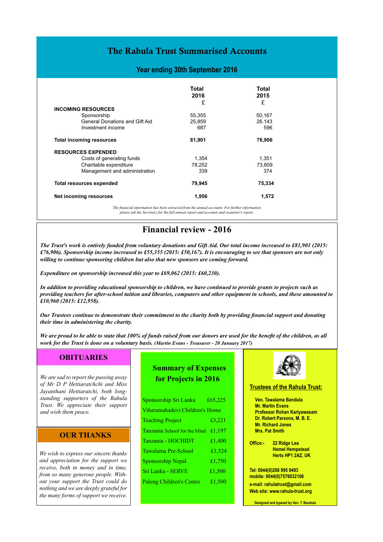# The Rahula Trust Summarised Accounts

#### **Year ending 30th September 2016**

|                                       | Total  | Total  |
|---------------------------------------|--------|--------|
|                                       | 2016   | 2015   |
|                                       | £      | £      |
| <b>INCOMING RESOURCES</b>             |        |        |
| Sponsorship                           | 55,355 | 50,167 |
| <b>General Donations and Gift Aid</b> | 25,859 | 26.143 |
| Investment income                     | 687    | 596    |
| <b>Total incoming resources</b>       | 81,901 | 76,906 |
| <b>RESOURCES EXPENDED</b>             |        |        |
| Costs of generating funds             | 1,354  | 1,351  |
| Charitable expenditure                | 78.252 | 73.609 |
| Management and administration         | 339    | 374    |
| <b>Total resources expended</b>       | 79,945 | 75,334 |
| Net incoming resources                | 1,956  | 1,572  |

*The financial information has been extracted from the annual accounts. For further information please ask the Secretary for the full annual report and accounts and examiner's report.*

# **Financial review - 2016**

*The Trust's work is entirely funded from voluntary donations and Gift Aid. Our total income increased to £81,901 (2015: £76,906). Sponsorship income increased to £55,355 (2015: £50,167). It is encouraging to see that sponsors are not only willing to continue sponsoring children but also that new sponsors are coming forward.*

*Expenditure on sponsorship increased this year to £69,062 (2015: £60,230).*

*In addition to providing educational sponsorship to children, we have continued to provide grants to projects such as providing teachers for after-school tuition and libraries, computers and other equipment in schools, and these amounted to £10,960 (2015: £12,958).*

*Our Trustees continue to demonstrate their commitment to the charity both by providing financial support and donating their time in administering the charity.*

*We are proud to be able to state that 100% of funds raised from our donors are used for the benefit of the children, as all work for the Trust is done on a voluntary basis. (Martin Evans - Treasurer - 20 January 2017)*

#### **OBITUARIES**

*We are sad to report the passing away of Mr D P Hettiaratchchi and Miss Jayanthani Hettiaratchi, both longstanding supporters of the Rahula Trust. We appreciate their support and wish them peace.* 

#### **OUR THANKS**

*We wish to express our sincere thanks and appreciation for the support we receive, both in money and in time, from so many generous people. Without your support the Trust could do nothing and we are deeply grateful for the many forms of support we receive.* 

# **Summary of Expenses for Projects in 2016**

| Sponsorship Sri Lanka          | £65,225 |  |
|--------------------------------|---------|--|
| Viharamahadevi Children's Home |         |  |
| <b>Teaching Project</b>        | £3,221  |  |
| Tanzania School for the blind  | £1,197  |  |
| Tanzania - HOCHIDT             | £1,400  |  |
| Tawalama Pre-School            | £1,524  |  |
| Sponsorship Nepal              | £1,750  |  |
| Sri Lanka - SERVE              | £1,500  |  |
| Paleng Children's Centre       | £1.500  |  |
|                                |         |  |



#### **Trustees of the Rahula Trust:**

**Ven. Tawalama Bandula Mr. Martin Evans Professor Rohan Kariyawasam Dr. Robert Parsons, M. B. E. Mr. Richard Jones Mrs. Pat Smith**

**Office:- 22 Ridge Lea Hemel Hempstead Herts HP1 2AZ, UK** 

**Tel: 0044(0)208 995 9493 mobile: 0044(0)7576032106 e-mail: rahulatrust@gmail.com Web site: www.rahula-trust.org**

**Designed and typeset by Ven. T. Bandula**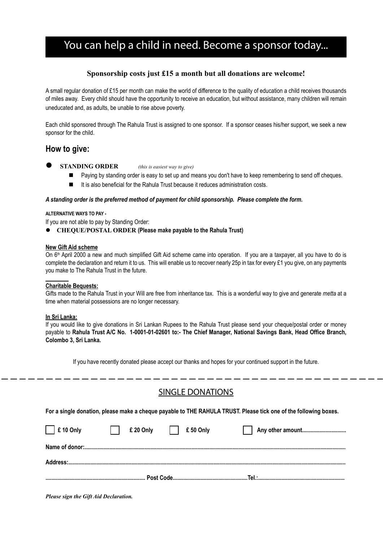# You can help a child in need. Become a sponsor today...

#### **Sponsorship costs just £15 a month but all donations are welcome!**

A small regular donation of £15 per month can make the world of difference to the quality of education a child receives thousands of miles away. Every child should have the opportunity to receive an education, but without assistance, many children will remain uneducated and, as adults, be unable to rise above poverty.

Each child sponsored through The Rahula Trust is assigned to one sponsor. If a sponsor ceases his/her support, we seek a new sponsor for the child.

### **How to give:**

- **STANDING ORDER** *(this is easiest way to give)*
	- Paying by standing order is easy to set up and means you don't have to keep remembering to send off cheques.
	- $\blacksquare$  It is also beneficial for the Rahula Trust because it reduces administration costs.

#### *A standing order is the preferred method of payment for child sponsorship. Please complete the form.*

#### **ALTERNATIVE WAYS TO PAY -**

If you are not able to pay by Standing Order:

**CHEQUE/POSTAL ORDER (Please make payable to the Rahula Trust)** 

#### **New Gift Aid scheme**

On 6<sup>th</sup> April 2000 a new and much simplified Gift Aid scheme came into operation. If you are a taxpayer, all you have to do is complete the declaration and return it to us. This will enable us to recover nearly 25p in tax for every £1 you give, on any payments you make to The Rahula Trust in the future.

#### **Charitable Bequests:**

Gifts made to the Rahula Trust in your Will are free from inheritance tax. This is a wonderful way to give and generate *metta* at a time when material possessions are no longer necessary.

#### **In Sri Lanka:**

If you would like to give donations in Sri Lankan Rupees to the Rahula Trust please send your cheque/postal order or money payable to **Rahula Trust A/C No. 1-0001-01-02601 to:- The Chief Manager, National Savings Bank, Head Office Branch, Colombo 3, Sri Lanka.**

If you have recently donated please accept our thanks and hopes for your continued support in the future.

### SINGLE DONATIONS

**For a single donation, please make a cheque payable to THE RAHULA TRUST. Please tick one of the following boxes.** 

| $\Box$ £ 10 Only | $£ 20$ Only $£ 50$ Only |  |  |  |
|------------------|-------------------------|--|--|--|

*Please sign the Gift Aid Declaration.*